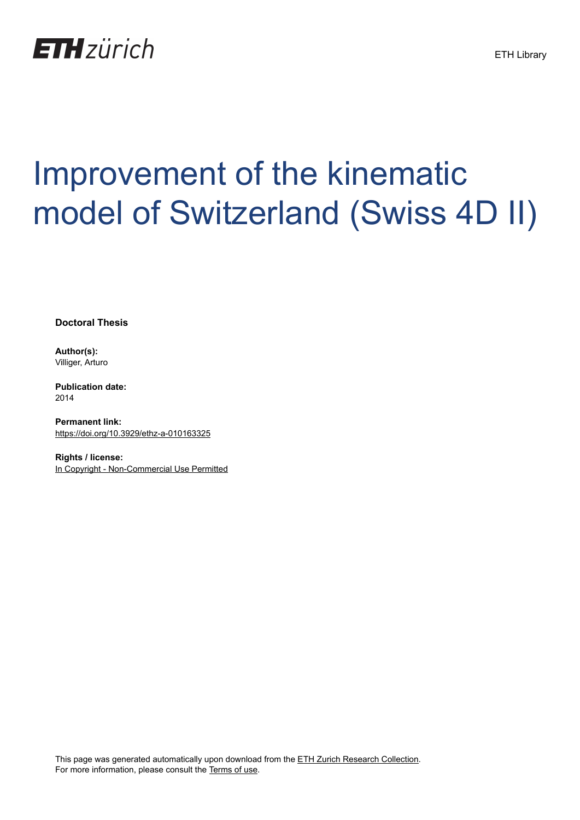

## Improvement of the kinematic model of Switzerland (Swiss 4D II)

**Doctoral Thesis**

**Author(s):** Villiger, Arturo

**Publication date:** 2014

**Permanent link:** <https://doi.org/10.3929/ethz-a-010163325>

**Rights / license:** [In Copyright - Non-Commercial Use Permitted](http://rightsstatements.org/page/InC-NC/1.0/)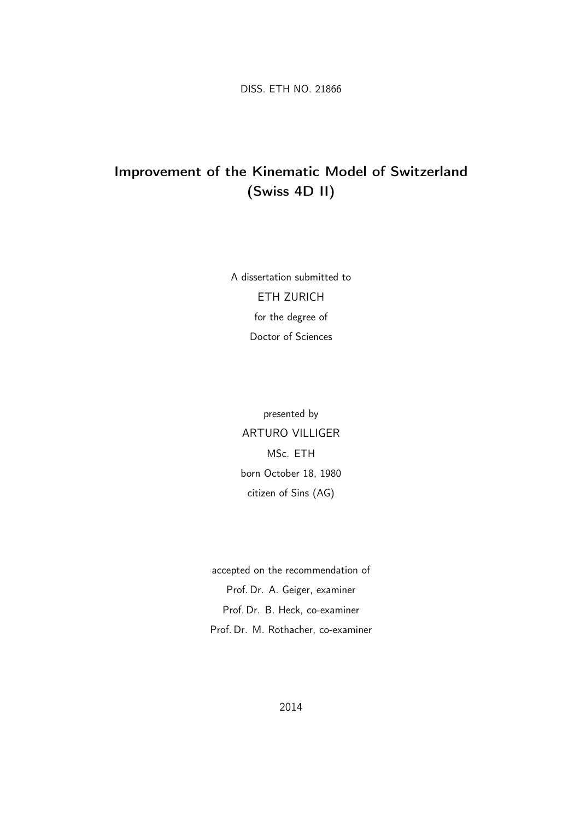DISS. ETH NO. 21866

## Improvement of the Kinematic Model of Switzerland (Swiss 4D II)

A dissertation submitted to ETH ZURICH for the degree of Doctor of Sciences

presented by ARTURO VILLIGER MSc. ETH born October 18, 1980 citizen of Sins (AG)

accepted on the recommendation of Prof. Dr. A. Geiger, examiner Prof. Dr. B. Heck, co-examiner Prof. Dr. M. Rothacher, co-examiner

2014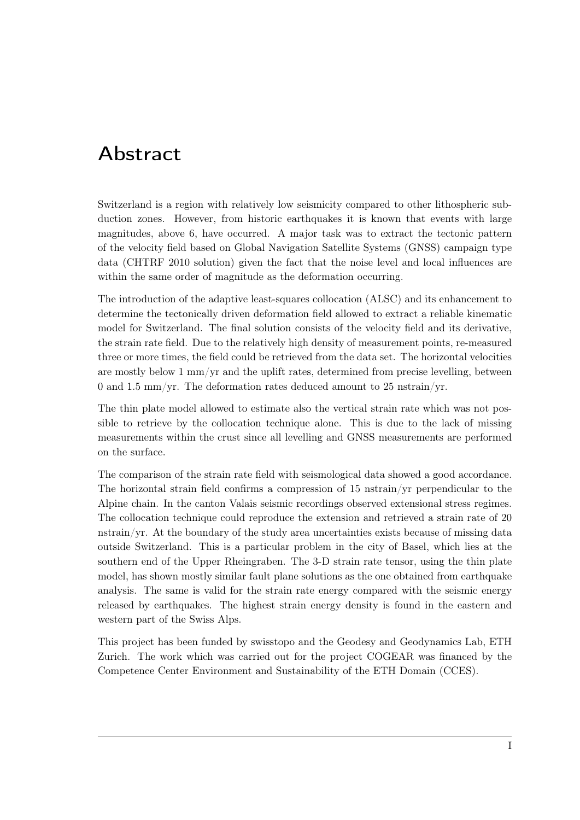## Abstract

Switzerland is a region with relatively low seismicity compared to other lithospheric subduction zones. However, from historic earthquakes it is known that events with large magnitudes, above 6, have occurred. A major task was to extract the tectonic pattern of the velocity field based on Global Navigation Satellite Systems (GNSS) campaign type data (CHTRF 2010 solution) given the fact that the noise level and local influences are within the same order of magnitude as the deformation occurring.

The introduction of the adaptive least-squares collocation (ALSC) and its enhancement to determine the tectonically driven deformation field allowed to extract a reliable kinematic model for Switzerland. The final solution consists of the velocity field and its derivative, the strain rate field. Due to the relatively high density of measurement points, re-measured three or more times, the field could be retrieved from the data set. The horizontal velocities are mostly below  $1 \text{ mm/yr}$  and the uplift rates, determined from precise levelling, between 0 and 1.5 mm/yr. The deformation rates deduced amount to 25 nstrain/yr.

The thin plate model allowed to estimate also the vertical strain rate which was not possible to retrieve by the collocation technique alone. This is due to the lack of missing measurements within the crust since all levelling and GNSS measurements are performed on the surface.

The comparison of the strain rate field with seismological data showed a good accordance. The horizontal strain field confirms a compression of 15 nstrain/yr perpendicular to the Alpine chain. In the canton Valais seismic recordings observed extensional stress regimes. The collocation technique could reproduce the extension and retrieved a strain rate of 20 nstrain/yr. At the boundary of the study area uncertainties exists because of missing data outside Switzerland. This is a particular problem in the city of Basel, which lies at the southern end of the Upper Rheingraben. The 3-D strain rate tensor, using the thin plate model, has shown mostly similar fault plane solutions as the one obtained from earthquake analysis. The same is valid for the strain rate energy compared with the seismic energy released by earthquakes. The highest strain energy density is found in the eastern and western part of the Swiss Alps.

This project has been funded by swisstopo and the Geodesy and Geodynamics Lab, ETH Zurich. The work which was carried out for the project COGEAR was financed by the Competence Center Environment and Sustainability of the ETH Domain (CCES).